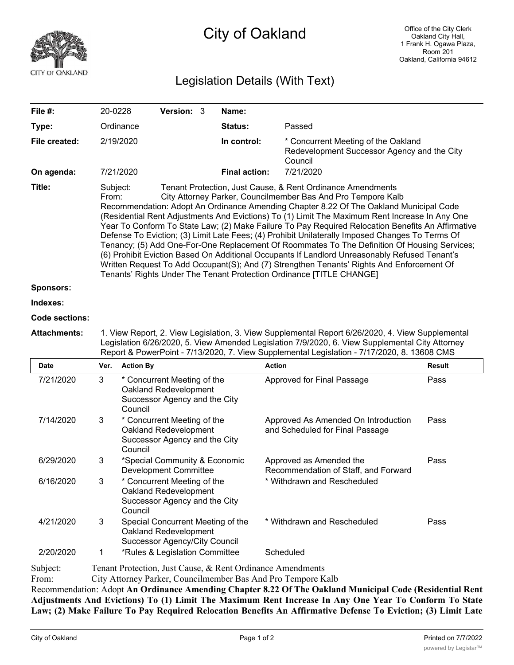

## City of Oakland

## Legislation Details (With Text)

| File $#$ :    | 20-0228                                                                                                                                                                                                                                                                                                                                                                                                                                                                                                                                                                                                                                                                                                                                                                                                                                                                                                                   | <b>Version: 3</b> |  | Name:                |                                                                                               |  |  |
|---------------|---------------------------------------------------------------------------------------------------------------------------------------------------------------------------------------------------------------------------------------------------------------------------------------------------------------------------------------------------------------------------------------------------------------------------------------------------------------------------------------------------------------------------------------------------------------------------------------------------------------------------------------------------------------------------------------------------------------------------------------------------------------------------------------------------------------------------------------------------------------------------------------------------------------------------|-------------------|--|----------------------|-----------------------------------------------------------------------------------------------|--|--|
| Type:         | Ordinance                                                                                                                                                                                                                                                                                                                                                                                                                                                                                                                                                                                                                                                                                                                                                                                                                                                                                                                 |                   |  | <b>Status:</b>       | Passed                                                                                        |  |  |
| File created: | 2/19/2020                                                                                                                                                                                                                                                                                                                                                                                                                                                                                                                                                                                                                                                                                                                                                                                                                                                                                                                 |                   |  | In control:          | * Concurrent Meeting of the Oakland<br>Redevelopment Successor Agency and the City<br>Council |  |  |
| On agenda:    | 7/21/2020                                                                                                                                                                                                                                                                                                                                                                                                                                                                                                                                                                                                                                                                                                                                                                                                                                                                                                                 |                   |  | <b>Final action:</b> | 7/21/2020                                                                                     |  |  |
| Title:        | Subject:<br>Tenant Protection, Just Cause, & Rent Ordinance Amendments<br>City Attorney Parker, Councilmember Bas And Pro Tempore Kalb<br>From:<br>Recommendation: Adopt An Ordinance Amending Chapter 8.22 Of The Oakland Municipal Code<br>(Residential Rent Adjustments And Evictions) To (1) Limit The Maximum Rent Increase In Any One<br>Year To Conform To State Law; (2) Make Failure To Pay Required Relocation Benefits An Affirmative<br>Defense To Eviction; (3) Limit Late Fees; (4) Prohibit Unilaterally Imposed Changes To Terms Of<br>Tenancy; (5) Add One-For-One Replacement Of Roommates To The Definition Of Housing Services;<br>(6) Prohibit Eviction Based On Additional Occupants If Landlord Unreasonably Refused Tenant's<br>Written Request To Add Occupant(S); And (7) Strengthen Tenants' Rights And Enforcement Of<br>Tenants' Rights Under The Tenant Protection Ordinance [TITLE CHANGE] |                   |  |                      |                                                                                               |  |  |
| Sponsors:     |                                                                                                                                                                                                                                                                                                                                                                                                                                                                                                                                                                                                                                                                                                                                                                                                                                                                                                                           |                   |  |                      |                                                                                               |  |  |
| Indexes:      |                                                                                                                                                                                                                                                                                                                                                                                                                                                                                                                                                                                                                                                                                                                                                                                                                                                                                                                           |                   |  |                      |                                                                                               |  |  |

## **Code sections:**

**Attachments:** 1. View Report, 2. View Legislation, 3. View Supplemental Report 6/26/2020, 4. View Supplemental Legislation 6/26/2020, 5. View Amended Legislation 7/9/2020, 6. View Supplemental City Attorney Report & PowerPoint - 7/13/2020, 7. View Supplemental Legislation - 7/17/2020, 8. 13608 CMS

| <b>Date</b>   | Ver.                                                                                               | <b>Action By</b>                                                                                 | <b>Action</b>                                                          | <b>Result</b> |  |  |  |
|---------------|----------------------------------------------------------------------------------------------------|--------------------------------------------------------------------------------------------------|------------------------------------------------------------------------|---------------|--|--|--|
| 7/21/2020     | 3                                                                                                  | * Concurrent Meeting of the<br>Oakland Redevelopment<br>Successor Agency and the City<br>Council | Approved for Final Passage                                             | Pass          |  |  |  |
| 7/14/2020     | 3                                                                                                  | * Concurrent Meeting of the<br>Oakland Redevelopment<br>Successor Agency and the City<br>Council | Approved As Amended On Introduction<br>and Scheduled for Final Passage | Pass          |  |  |  |
| 6/29/2020     | 3                                                                                                  | *Special Community & Economic<br><b>Development Committee</b>                                    | Approved as Amended the<br>Recommendation of Staff, and Forward        | Pass          |  |  |  |
| 6/16/2020     | 3                                                                                                  | * Concurrent Meeting of the<br>Oakland Redevelopment<br>Successor Agency and the City<br>Council | * Withdrawn and Rescheduled                                            |               |  |  |  |
| 4/21/2020     | 3                                                                                                  | Special Concurrent Meeting of the<br>Oakland Redevelopment<br>Successor Agency/City Council      | * Withdrawn and Rescheduled                                            | Pass          |  |  |  |
| 2/20/2020     |                                                                                                    | *Rules & Legislation Committee                                                                   | Scheduled                                                              |               |  |  |  |
| $C_{11}11111$ | $T_{\text{current}}$ Declection Leat Gause, $\theta_{\text{c}}$ D and Onlinearch American discrete |                                                                                                  |                                                                        |               |  |  |  |

Subject: Tenant Protection, Just Cause, & Rent Ordinance Amendments

From: City Attorney Parker, Councilmember Bas And Pro Tempore Kalb

Recommendation: Adopt **An Ordinance Amending Chapter 8.22 Of The Oakland Municipal Code (Residential Rent** Adjustments And Evictions) To (1) Limit The Maximum Rent Increase In Any One Year To Conform To State Law; (2) Make Failure To Pay Required Relocation Benefits An Affirmative Defense To Eviction; (3) Limit Late